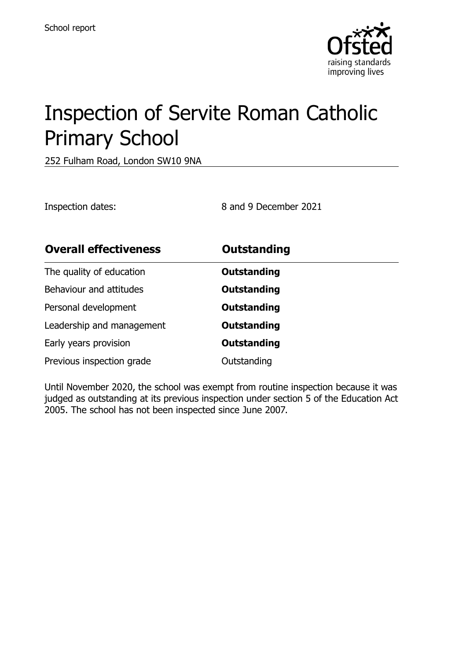

# Inspection of Servite Roman Catholic Primary School

252 Fulham Road, London SW10 9NA

Inspection dates: 8 and 9 December 2021

| <b>Overall effectiveness</b> | <b>Outstanding</b> |
|------------------------------|--------------------|
| The quality of education     | Outstanding        |
| Behaviour and attitudes      | Outstanding        |
| Personal development         | <b>Outstanding</b> |
| Leadership and management    | Outstanding        |
| Early years provision        | <b>Outstanding</b> |
| Previous inspection grade    | Outstanding        |

Until November 2020, the school was exempt from routine inspection because it was judged as outstanding at its previous inspection under section 5 of the Education Act 2005. The school has not been inspected since June 2007.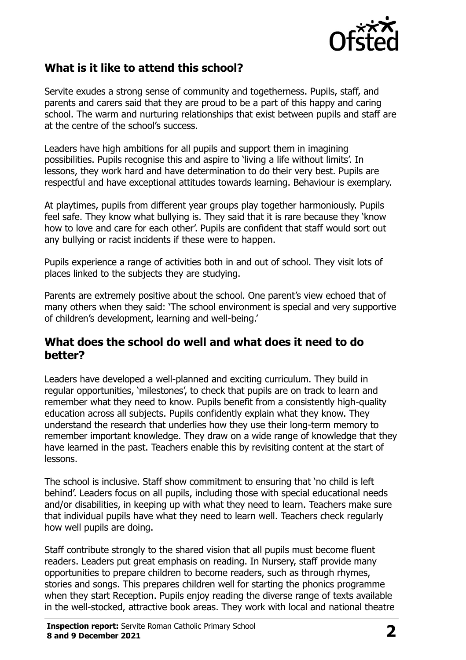

#### **What is it like to attend this school?**

Servite exudes a strong sense of community and togetherness. Pupils, staff, and parents and carers said that they are proud to be a part of this happy and caring school. The warm and nurturing relationships that exist between pupils and staff are at the centre of the school's success.

Leaders have high ambitions for all pupils and support them in imagining possibilities. Pupils recognise this and aspire to 'living a life without limits'. In lessons, they work hard and have determination to do their very best. Pupils are respectful and have exceptional attitudes towards learning. Behaviour is exemplary.

At playtimes, pupils from different year groups play together harmoniously. Pupils feel safe. They know what bullying is. They said that it is rare because they 'know how to love and care for each other'. Pupils are confident that staff would sort out any bullying or racist incidents if these were to happen.

Pupils experience a range of activities both in and out of school. They visit lots of places linked to the subjects they are studying.

Parents are extremely positive about the school. One parent's view echoed that of many others when they said: 'The school environment is special and very supportive of children's development, learning and well-being.'

#### **What does the school do well and what does it need to do better?**

Leaders have developed a well-planned and exciting curriculum. They build in regular opportunities, 'milestones', to check that pupils are on track to learn and remember what they need to know. Pupils benefit from a consistently high-quality education across all subjects. Pupils confidently explain what they know. They understand the research that underlies how they use their long-term memory to remember important knowledge. They draw on a wide range of knowledge that they have learned in the past. Teachers enable this by revisiting content at the start of lessons.

The school is inclusive. Staff show commitment to ensuring that 'no child is left behind'. Leaders focus on all pupils, including those with special educational needs and/or disabilities, in keeping up with what they need to learn. Teachers make sure that individual pupils have what they need to learn well. Teachers check regularly how well pupils are doing.

Staff contribute strongly to the shared vision that all pupils must become fluent readers. Leaders put great emphasis on reading. In Nursery, staff provide many opportunities to prepare children to become readers, such as through rhymes, stories and songs. This prepares children well for starting the phonics programme when they start Reception. Pupils enjoy reading the diverse range of texts available in the well-stocked, attractive book areas. They work with local and national theatre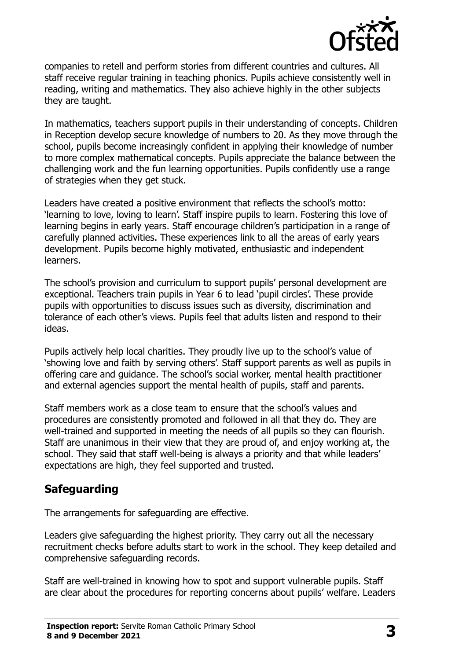

companies to retell and perform stories from different countries and cultures. All staff receive regular training in teaching phonics. Pupils achieve consistently well in reading, writing and mathematics. They also achieve highly in the other subjects they are taught.

In mathematics, teachers support pupils in their understanding of concepts. Children in Reception develop secure knowledge of numbers to 20. As they move through the school, pupils become increasingly confident in applying their knowledge of number to more complex mathematical concepts. Pupils appreciate the balance between the challenging work and the fun learning opportunities. Pupils confidently use a range of strategies when they get stuck.

Leaders have created a positive environment that reflects the school's motto: 'learning to love, loving to learn'. Staff inspire pupils to learn. Fostering this love of learning begins in early years. Staff encourage children's participation in a range of carefully planned activities. These experiences link to all the areas of early years development. Pupils become highly motivated, enthusiastic and independent learners.

The school's provision and curriculum to support pupils' personal development are exceptional. Teachers train pupils in Year 6 to lead 'pupil circles'. These provide pupils with opportunities to discuss issues such as diversity, discrimination and tolerance of each other's views. Pupils feel that adults listen and respond to their ideas.

Pupils actively help local charities. They proudly live up to the school's value of 'showing love and faith by serving others'. Staff support parents as well as pupils in offering care and guidance. The school's social worker, mental health practitioner and external agencies support the mental health of pupils, staff and parents.

Staff members work as a close team to ensure that the school's values and procedures are consistently promoted and followed in all that they do. They are well-trained and supported in meeting the needs of all pupils so they can flourish. Staff are unanimous in their view that they are proud of, and enjoy working at, the school. They said that staff well-being is always a priority and that while leaders' expectations are high, they feel supported and trusted.

# **Safeguarding**

The arrangements for safeguarding are effective.

Leaders give safeguarding the highest priority. They carry out all the necessary recruitment checks before adults start to work in the school. They keep detailed and comprehensive safeguarding records.

Staff are well-trained in knowing how to spot and support vulnerable pupils. Staff are clear about the procedures for reporting concerns about pupils' welfare. Leaders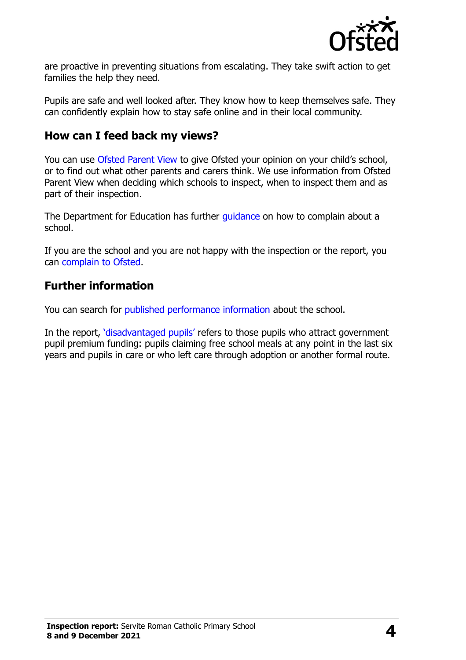

are proactive in preventing situations from escalating. They take swift action to get families the help they need.

Pupils are safe and well looked after. They know how to keep themselves safe. They can confidently explain how to stay safe online and in their local community.

#### **How can I feed back my views?**

You can use [Ofsted Parent View](http://parentview.ofsted.gov.uk/) to give Ofsted your opinion on your child's school, or to find out what other parents and carers think. We use information from Ofsted Parent View when deciding which schools to inspect, when to inspect them and as part of their inspection.

The Department for Education has further quidance on how to complain about a school.

If you are the school and you are not happy with the inspection or the report, you can [complain to Ofsted.](http://www.gov.uk/complain-ofsted-report)

#### **Further information**

You can search for [published performance information](http://www.compare-school-performance.service.gov.uk/) about the school.

In the report, '[disadvantaged pupils](http://www.gov.uk/guidance/pupil-premium-information-for-schools-and-alternative-provision-settings)' refers to those pupils who attract government pupil premium funding: pupils claiming free school meals at any point in the last six years and pupils in care or who left care through adoption or another formal route.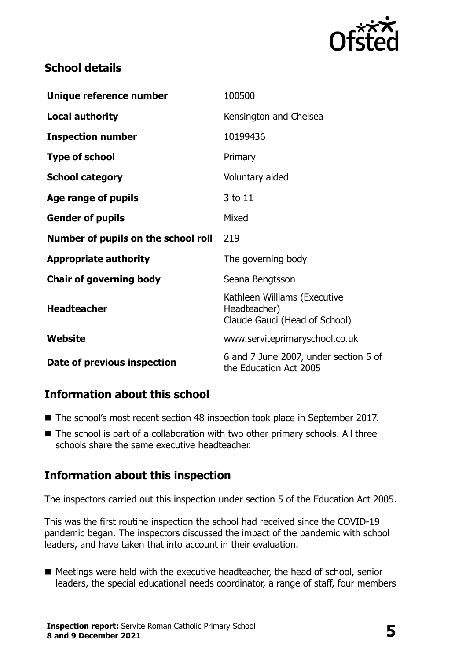

# **School details**

| Unique reference number             | 100500                                                                        |
|-------------------------------------|-------------------------------------------------------------------------------|
| <b>Local authority</b>              | Kensington and Chelsea                                                        |
| <b>Inspection number</b>            | 10199436                                                                      |
| <b>Type of school</b>               | Primary                                                                       |
| <b>School category</b>              | Voluntary aided                                                               |
| Age range of pupils                 | 3 to 11                                                                       |
| <b>Gender of pupils</b>             | Mixed                                                                         |
| Number of pupils on the school roll | 219                                                                           |
| <b>Appropriate authority</b>        | The governing body                                                            |
| <b>Chair of governing body</b>      | Seana Bengtsson                                                               |
| <b>Headteacher</b>                  | Kathleen Williams (Executive<br>Headteacher)<br>Claude Gauci (Head of School) |
| Website                             | www.serviteprimaryschool.co.uk                                                |
| Date of previous inspection         | 6 and 7 June 2007, under section 5 of<br>the Education Act 2005               |

# **Information about this school**

- The school's most recent section 48 inspection took place in September 2017.
- The school is part of a collaboration with two other primary schools. All three schools share the same executive headteacher.

# **Information about this inspection**

The inspectors carried out this inspection under section 5 of the Education Act 2005.

This was the first routine inspection the school had received since the COVID-19 pandemic began. The inspectors discussed the impact of the pandemic with school leaders, and have taken that into account in their evaluation.

■ Meetings were held with the executive headteacher, the head of school, senior leaders, the special educational needs coordinator, a range of staff, four members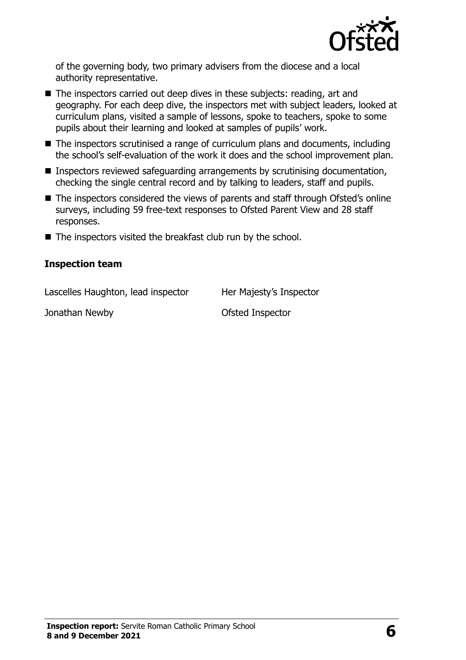

of the governing body, two primary advisers from the diocese and a local authority representative.

- The inspectors carried out deep dives in these subjects: reading, art and geography. For each deep dive, the inspectors met with subject leaders, looked at curriculum plans, visited a sample of lessons, spoke to teachers, spoke to some pupils about their learning and looked at samples of pupils' work.
- The inspectors scrutinised a range of curriculum plans and documents, including the school's self-evaluation of the work it does and the school improvement plan.
- Inspectors reviewed safeguarding arrangements by scrutinising documentation, checking the single central record and by talking to leaders, staff and pupils.
- The inspectors considered the views of parents and staff through Ofsted's online surveys, including 59 free-text responses to Ofsted Parent View and 28 staff responses.
- The inspectors visited the breakfast club run by the school.

#### **Inspection team**

Lascelles Haughton, lead inspector Her Majesty's Inspector

Jonathan Newby **Constanting Constanting Constanting Constanting Constanting Constanting Constanting Constanting Constanting Constanting Constanting Constanting Constanting Constanting Constanting Constanting Constanting Co**